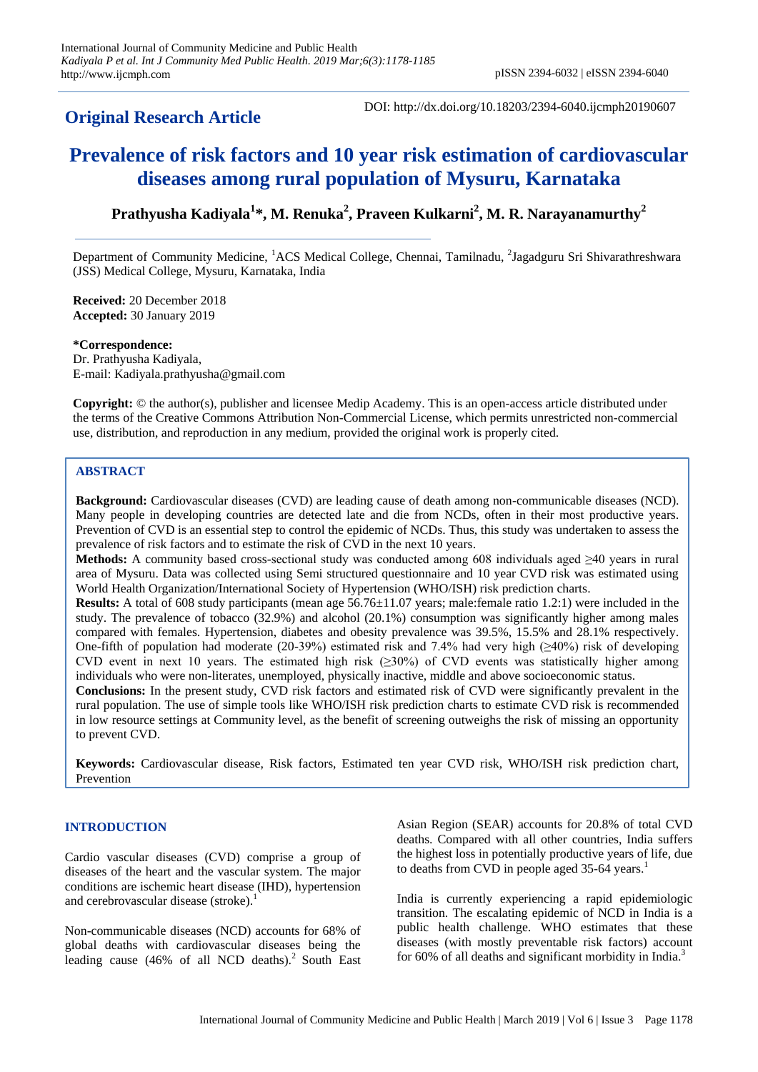# **Original Research Article**

DOI: http://dx.doi.org/10.18203/2394-6040.ijcmph20190607

# **Prevalence of risk factors and 10 year risk estimation of cardiovascular diseases among rural population of Mysuru, Karnataka**

**Prathyusha Kadiyala<sup>1</sup> \*, M. Renuka<sup>2</sup> , Praveen Kulkarni<sup>2</sup> , M. R. Narayanamurthy<sup>2</sup>**

Department of Community Medicine, <sup>1</sup>ACS Medical College, Chennai, Tamilnadu, <sup>2</sup>Jagadguru Sri Shivarathreshwara (JSS) Medical College, Mysuru, Karnataka, India

**Received:** 20 December 2018 **Accepted:** 30 January 2019

**\*Correspondence:**

Dr. Prathyusha Kadiyala, E-mail: Kadiyala.prathyusha@gmail.com

**Copyright:** © the author(s), publisher and licensee Medip Academy. This is an open-access article distributed under the terms of the Creative Commons Attribution Non-Commercial License, which permits unrestricted non-commercial use, distribution, and reproduction in any medium, provided the original work is properly cited.

### **ABSTRACT**

**Background:** Cardiovascular diseases (CVD) are leading cause of death among non-communicable diseases (NCD). Many people in developing countries are detected late and die from NCDs, often in their most productive years. Prevention of CVD is an essential step to control the epidemic of NCDs. Thus, this study was undertaken to assess the prevalence of risk factors and to estimate the risk of CVD in the next 10 years.

**Methods:** A community based cross-sectional study was conducted among 608 individuals aged ≥40 years in rural area of Mysuru. Data was collected using Semi structured questionnaire and 10 year CVD risk was estimated using World Health Organization/International Society of Hypertension (WHO/ISH) risk prediction charts.

**Results:** A total of 608 study participants (mean age 56.76 $\pm$ 11.07 years; male:female ratio 1.2:1) were included in the study. The prevalence of tobacco (32.9%) and alcohol (20.1%) consumption was significantly higher among males compared with females. Hypertension, diabetes and obesity prevalence was 39.5%, 15.5% and 28.1% respectively. One-fifth of population had moderate (20-39%) estimated risk and 7.4% had very high (≥40%) risk of developing CVD event in next 10 years. The estimated high risk  $(\geq 30\%)$  of CVD events was statistically higher among individuals who were non-literates, unemployed, physically inactive, middle and above socioeconomic status.

**Conclusions:** In the present study, CVD risk factors and estimated risk of CVD were significantly prevalent in the rural population. The use of simple tools like WHO/ISH risk prediction charts to estimate CVD risk is recommended in low resource settings at Community level, as the benefit of screening outweighs the risk of missing an opportunity to prevent CVD.

**Keywords:** Cardiovascular disease, Risk factors, Estimated ten year CVD risk, WHO/ISH risk prediction chart, Prevention

#### **INTRODUCTION**

Cardio vascular diseases (CVD) comprise a group of diseases of the heart and the vascular system. The major conditions are ischemic heart disease (IHD), hypertension and cerebrovascular disease (stroke).<sup>1</sup>

Non-communicable diseases (NCD) accounts for 68% of global deaths with cardiovascular diseases being the leading cause  $(46\% \text{ of all NCD deaths})$ . South East Asian Region (SEAR) accounts for 20.8% of total CVD deaths. Compared with all other countries, India suffers the highest loss in potentially productive years of life, due to deaths from CVD in people aged  $35-64$  years.<sup>1</sup>

India is currently experiencing a rapid epidemiologic transition. The escalating epidemic of NCD in India is a public health challenge. WHO estimates that these diseases (with mostly preventable risk factors) account for 60% of all deaths and significant morbidity in India.<sup>3</sup>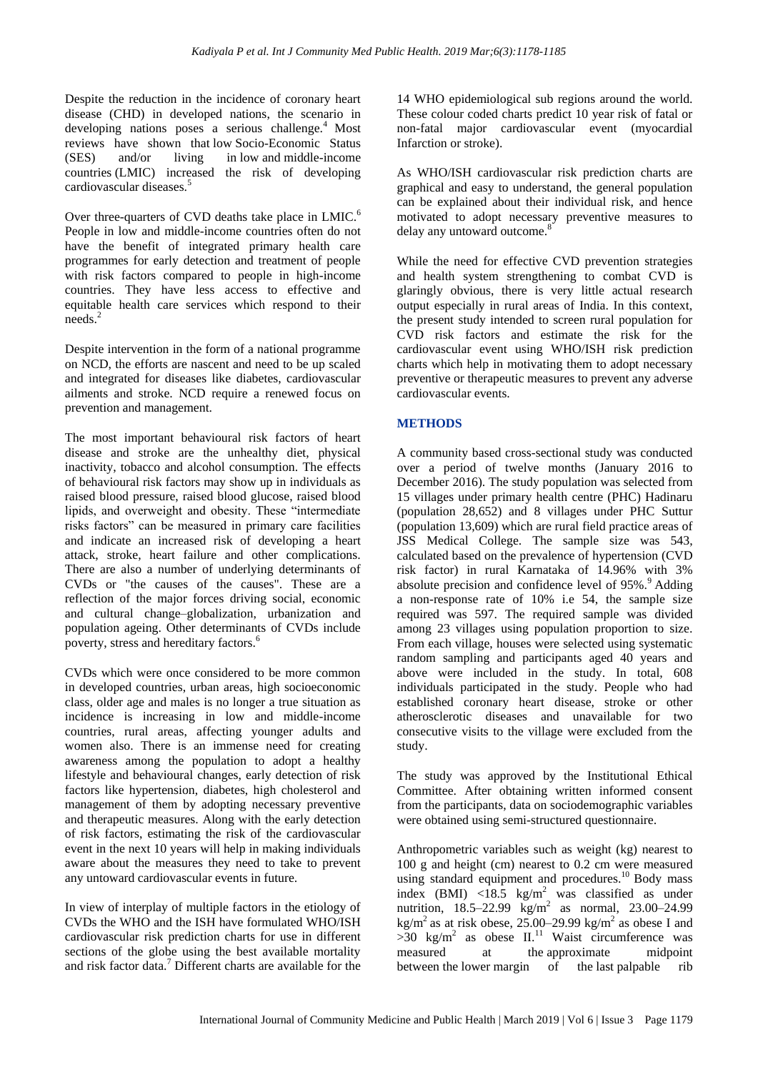Despite the reduction in the incidence of coronary heart disease (CHD) in developed nations, the scenario in developing nations poses a serious challenge.<sup>4</sup> Most reviews have shown that low Socio-Economic Status (SES) and/or living in low and middle-income countries (LMIC) increased the risk of developing cardiovascular diseases.<sup>5</sup>

Over three-quarters of CVD deaths take place in LMIC.<sup>6</sup> People in low and middle-income countries often do not have the benefit of integrated primary health care programmes for early detection and treatment of people with risk factors compared to people in high-income countries. They have less access to effective and equitable health care services which respond to their needs $^2$ 

Despite intervention in the form of a national programme on NCD, the efforts are nascent and need to be up scaled and integrated for diseases like diabetes, cardiovascular ailments and stroke. NCD require a renewed focus on prevention and management.

The most important behavioural risk factors of heart disease and stroke are the unhealthy diet, physical inactivity, tobacco and alcohol consumption. The effects of behavioural risk factors may show up in individuals as raised blood pressure, raised blood glucose, raised blood lipids, and overweight and obesity. These "intermediate risks factors" can be measured in primary care facilities and indicate an increased risk of developing a heart attack, stroke, heart failure and other complications. There are also a number of underlying determinants of CVDs or "the causes of the causes". These are a reflection of the major forces driving social, economic and cultural change–globalization, urbanization and population ageing. Other determinants of CVDs include poverty, stress and hereditary factors.<sup>6</sup>

CVDs which were once considered to be more common in developed countries, urban areas, high socioeconomic class, older age and males is no longer a true situation as incidence is increasing in low and middle-income countries, rural areas, affecting younger adults and women also. There is an immense need for creating awareness among the population to adopt a healthy lifestyle and behavioural changes, early detection of risk factors like hypertension, diabetes, high cholesterol and management of them by adopting necessary preventive and therapeutic measures. Along with the early detection of risk factors, estimating the risk of the cardiovascular event in the next 10 years will help in making individuals aware about the measures they need to take to prevent any untoward cardiovascular events in future.

In view of interplay of multiple factors in the etiology of CVDs the WHO and the ISH have formulated WHO/ISH cardiovascular risk prediction charts for use in different sections of the globe using the best available mortality and risk factor data.<sup>7</sup> Different charts are available for the

14 WHO epidemiological sub regions around the world. These colour coded charts predict 10 year risk of fatal or non-fatal major cardiovascular event (myocardial Infarction or stroke).

As WHO/ISH cardiovascular risk prediction charts are graphical and easy to understand, the general population can be explained about their individual risk, and hence motivated to adopt necessary preventive measures to delay any untoward outcome.<sup>8</sup>

While the need for effective CVD prevention strategies and health system strengthening to combat CVD is glaringly obvious, there is very little actual research output especially in rural areas of India. In this context, the present study intended to screen rural population for CVD risk factors and estimate the risk for the cardiovascular event using WHO/ISH risk prediction charts which help in motivating them to adopt necessary preventive or therapeutic measures to prevent any adverse cardiovascular events.

## **METHODS**

A community based cross-sectional study was conducted over a period of twelve months (January 2016 to December 2016). The study population was selected from 15 villages under primary health centre (PHC) Hadinaru (population 28,652) and 8 villages under PHC Suttur (population 13,609) which are rural field practice areas of JSS Medical College. The sample size was 543, calculated based on the prevalence of hypertension (CVD risk factor) in rural Karnataka of 14.96% with 3% absolute precision and confidence level of 95%.<sup>9</sup> Adding a non-response rate of 10% i.e 54, the sample size required was 597. The required sample was divided among 23 villages using population proportion to size. From each village, houses were selected using systematic random sampling and participants aged 40 years and above were included in the study. In total, 608 individuals participated in the study. People who had established coronary heart disease, stroke or other atherosclerotic diseases and unavailable for two consecutive visits to the village were excluded from the study.

The study was approved by the Institutional Ethical Committee. After obtaining written informed consent from the participants, data on sociodemographic variables were obtained using semi-structured questionnaire.

Anthropometric variables such as weight (kg) nearest to 100 g and height (cm) nearest to 0.2 cm were measured using standard equipment and procedures.<sup>10</sup> Body mass index (BMI)  $\langle 18.5 \text{ kg/m}^2$  was classified as under nutrition, 18.5–22.99 kg/m<sup>2</sup> as normal, 23.00–24.99 kg/m<sup>2</sup> as at risk obese,  $25.00-29.99$  kg/m<sup>2</sup> as obese I and  $>30$  kg/m<sup>2</sup> as obese II.<sup>11</sup> Waist circumference was measured at the approximate midpoint between the lower margin of the last palpable rib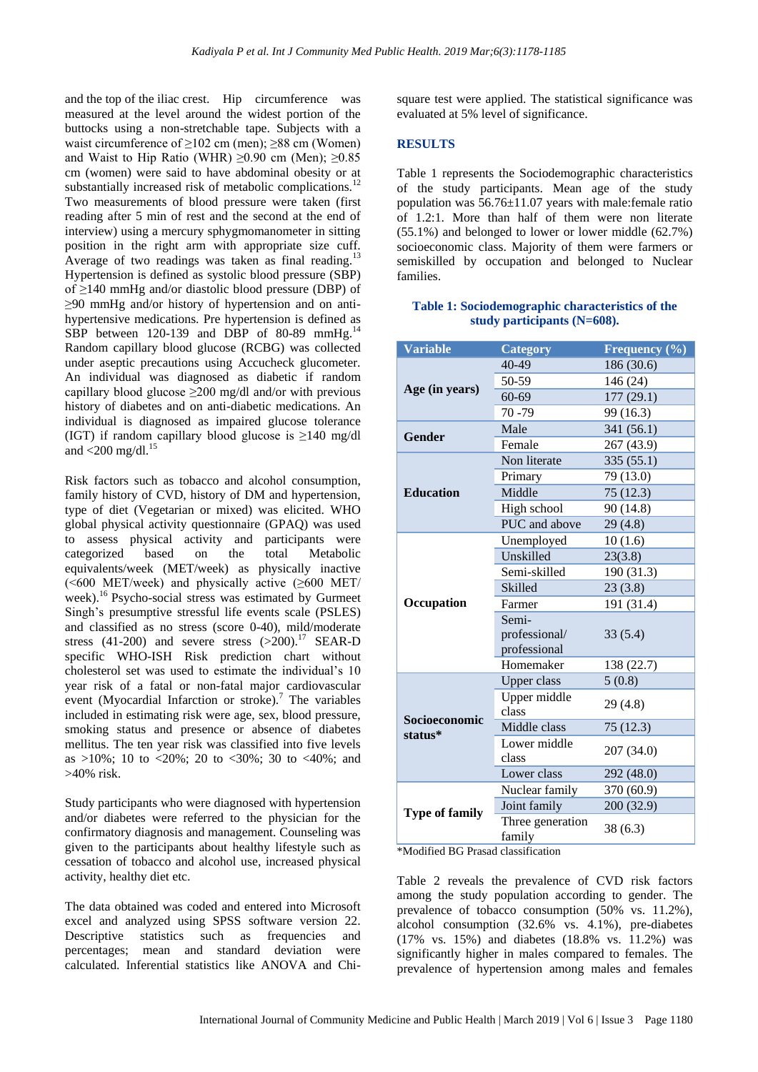and the top of the iliac crest. Hip circumference was measured at the level around the widest portion of the buttocks using a non-stretchable tape. Subjects with a waist circumference of  $\geq$ 102 cm (men);  $\geq$ 88 cm (Women) and Waist to Hip Ratio (WHR)  $\geq 0.90$  cm (Men);  $\geq 0.85$ cm (women) were said to have abdominal obesity or at substantially increased risk of metabolic complications.<sup>12</sup> Two measurements of blood pressure were taken (first reading after 5 min of rest and the second at the end of interview) using a mercury sphygmomanometer in sitting position in the right arm with appropriate size cuff. Average of two readings was taken as final reading.<sup>13</sup> Hypertension is defined as systolic blood pressure (SBP) of ≥140 mmHg and/or diastolic blood pressure (DBP) of ≥90 mmHg and/or history of hypertension and on antihypertensive medications. Pre hypertension is defined as SBP between 120-139 and DBP of 80-89 mmHg.<sup>14</sup> Random capillary blood glucose (RCBG) was collected under aseptic precautions using Accucheck glucometer. An individual was diagnosed as diabetic if random capillary blood glucose  $\geq 200$  mg/dl and/or with previous history of diabetes and on anti-diabetic medications. An individual is diagnosed as impaired glucose tolerance (IGT) if random capillary blood glucose is  $\geq 140$  mg/dl and  $<$  200 mg/dl.<sup>15</sup>

Risk factors such as tobacco and alcohol consumption, family history of CVD, history of DM and hypertension, type of diet (Vegetarian or mixed) was elicited. WHO global physical activity questionnaire (GPAQ) was used to assess physical activity and participants were categorized based on the total Metabolic equivalents/week (MET/week) as physically inactive  $(**600** MET/week)$  and physically active  $(\geq 600$  MET/ week).<sup>16</sup> Psycho-social stress was estimated by Gurmeet Singh's presumptive stressful life events scale (PSLES) and classified as no stress (score 0-40), mild/moderate stress (41-200) and severe stress  $(>200)$ .<sup>17</sup> SEAR-D specific WHO-ISH Risk prediction chart without cholesterol set was used to estimate the individual's 10 year risk of a fatal or non-fatal major cardiovascular event (Myocardial Infarction or stroke).<sup>7</sup> The variables included in estimating risk were age, sex, blood pressure, smoking status and presence or absence of diabetes mellitus. The ten year risk was classified into five levels as >10%; 10 to <20%; 20 to <30%; 30 to <40%; and >40% risk.

Study participants who were diagnosed with hypertension and/or diabetes were referred to the physician for the confirmatory diagnosis and management. Counseling was given to the participants about healthy lifestyle such as cessation of tobacco and alcohol use, increased physical activity, healthy diet etc.

The data obtained was coded and entered into Microsoft excel and analyzed using SPSS software version 22. Descriptive statistics such as frequencies and percentages; mean and standard deviation were calculated. Inferential statistics like ANOVA and Chisquare test were applied. The statistical significance was evaluated at 5% level of significance.

#### **RESULTS**

Table 1 represents the Sociodemographic characteristics of the study participants. Mean age of the study population was 56.76±11.07 years with male:female ratio of 1.2:1. More than half of them were non literate (55.1%) and belonged to lower or lower middle (62.7%) socioeconomic class. Majority of them were farmers or semiskilled by occupation and belonged to Nuclear families.

#### **Table 1: Sociodemographic characteristics of the study participants (N=608).**

| <b>Variable</b>                 | <b>Category</b>               | Frequency (%) |  |  |  |
|---------------------------------|-------------------------------|---------------|--|--|--|
| Age (in years)                  | 40-49                         | 186 (30.6)    |  |  |  |
|                                 | 50-59                         | 146 (24)      |  |  |  |
|                                 | 60-69                         | 177(29.1)     |  |  |  |
|                                 | $70 - 79$                     | 99 (16.3)     |  |  |  |
|                                 | Male                          | 341 (56.1)    |  |  |  |
| <b>Gender</b>                   | Female                        | 267 (43.9)    |  |  |  |
|                                 | Non literate                  | 335(55.1)     |  |  |  |
|                                 | Primary                       | 79 (13.0)     |  |  |  |
| <b>Education</b>                | Middle                        | 75(12.3)      |  |  |  |
|                                 | High school                   | 90 (14.8)     |  |  |  |
|                                 | PUC and above                 | 29(4.8)       |  |  |  |
|                                 | Unemployed                    | 10(1.6)       |  |  |  |
|                                 | Unskilled                     | 23(3.8)       |  |  |  |
|                                 | Semi-skilled                  | 190 (31.3)    |  |  |  |
|                                 | <b>Skilled</b>                | 23(3.8)       |  |  |  |
| Occupation                      | Farmer                        | 191 (31.4)    |  |  |  |
|                                 | Semi-                         |               |  |  |  |
|                                 | professional/<br>professional | 33(5.4)       |  |  |  |
|                                 | Homemaker                     | 138 (22.7)    |  |  |  |
|                                 | <b>Upper class</b>            | 5(0.8)        |  |  |  |
| <b>Socioeconomic</b><br>status* | Upper middle<br>class         | 29(4.8)       |  |  |  |
|                                 | Middle class                  | 75(12.3)      |  |  |  |
|                                 | Lower middle<br>class         | 207 (34.0)    |  |  |  |
|                                 | Lower class                   | 292 (48.0)    |  |  |  |
|                                 | Nuclear family                | 370 (60.9)    |  |  |  |
| <b>Type of family</b>           | Joint family                  | 200 (32.9)    |  |  |  |
|                                 | Three generation<br>family    | 38 (6.3)      |  |  |  |

\*Modified BG Prasad classification

Table 2 reveals the prevalence of CVD risk factors among the study population according to gender. The prevalence of tobacco consumption (50% vs. 11.2%), alcohol consumption (32.6% vs. 4.1%), pre-diabetes (17% vs. 15%) and diabetes (18.8% vs. 11.2%) was significantly higher in males compared to females. The prevalence of hypertension among males and females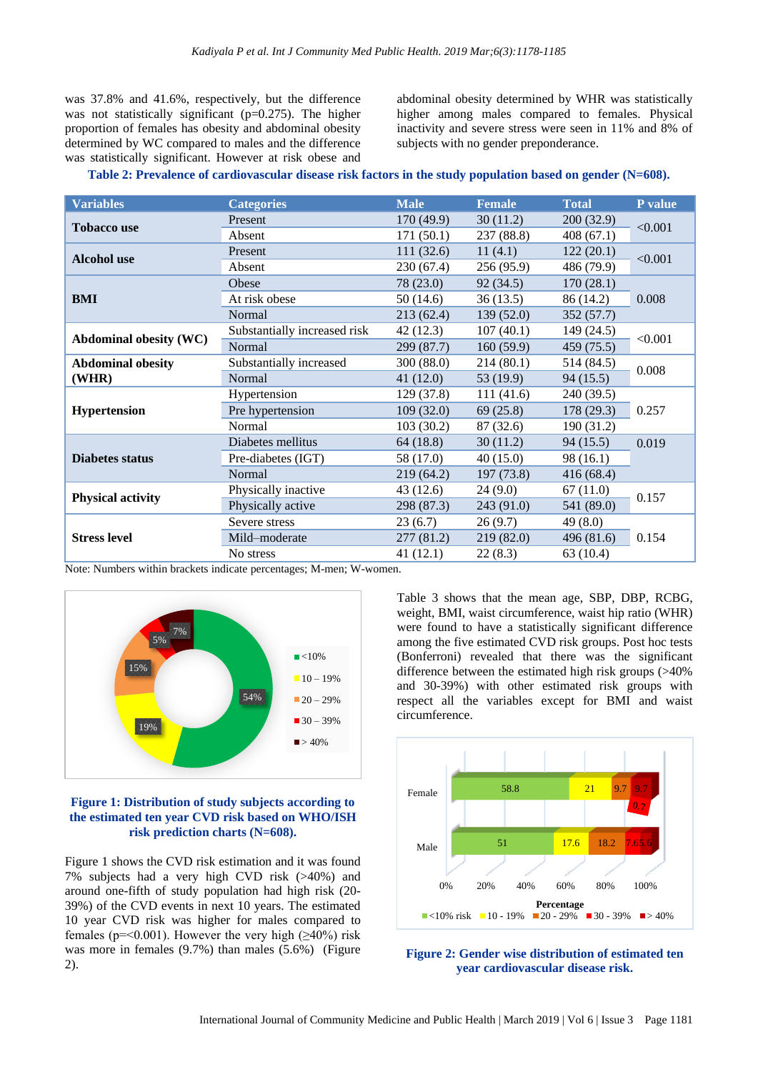was 37.8% and 41.6%, respectively, but the difference was not statistically significant (p=0.275). The higher proportion of females has obesity and abdominal obesity determined by WC compared to males and the difference was statistically significant. However at risk obese and abdominal obesity determined by WHR was statistically higher among males compared to females. Physical inactivity and severe stress were seen in 11% and 8% of subjects with no gender preponderance.

| Table 2: Prevalence of cardiovascular disease risk factors in the study population based on gender (N=608). |  |  |  |  |
|-------------------------------------------------------------------------------------------------------------|--|--|--|--|
|                                                                                                             |  |  |  |  |

| <b>Variables</b>              | <b>Categories</b>            | <b>Male</b>           | <b>Female</b> | <b>Total</b> | P value |  |
|-------------------------------|------------------------------|-----------------------|---------------|--------------|---------|--|
| <b>Tobacco use</b>            | Present                      | 170 (49.9)            | 30(11.2)      | 200 (32.9)   | < 0.001 |  |
|                               | Absent                       | 171(50.1)             | 237 (88.8)    | 408(67.1)    |         |  |
| <b>Alcohol</b> use            | Present                      | 111(32.6)             | 11(4.1)       | 122(20.1)    | < 0.001 |  |
|                               | Absent                       | 230(67.4)             | 256(95.9)     | 486 (79.9)   |         |  |
|                               | Obese                        | 78 (23.0)             | 92(34.5)      | 170(28.1)    | 0.008   |  |
| <b>BMI</b>                    | At risk obese                | 50(14.6)              | 36(13.5)      | 86 (14.2)    |         |  |
|                               | Normal                       | 213(62.4)             | 139(52.0)     | 352(57.7)    |         |  |
|                               | Substantially increased risk | 42(12.3)<br>107(40.1) |               | 149(24.5)    |         |  |
| <b>Abdominal obesity (WC)</b> | Normal                       | 299 (87.7)            | 160(59.9)     | 459 (75.5)   | < 0.001 |  |
| <b>Abdominal obesity</b>      | Substantially increased      | 300(88.0)             | 214(80.1)     | 514 (84.5)   | 0.008   |  |
| (WHR)                         | Normal                       | 41(12.0)              | 53 (19.9)     | 94(15.5)     |         |  |
|                               | Hypertension                 | 129 (37.8)            | 111(41.6)     | 240 (39.5)   |         |  |
| <b>Hypertension</b>           | Pre hypertension             | 109(32.0)             | 69(25.8)      | 178 (29.3)   | 0.257   |  |
|                               | Normal                       | 103(30.2)             | 87 (32.6)     | 190(31.2)    |         |  |
| <b>Diabetes status</b>        | Diabetes mellitus            | 64 (18.8)             | 30(11.2)      | 94(15.5)     | 0.019   |  |
|                               | Pre-diabetes (IGT)           | 58 (17.0)             | 40(15.0)      | 98 (16.1)    |         |  |
|                               | Normal                       | 219(64.2)             | 197(73.8)     | 416(68.4)    |         |  |
| <b>Physical activity</b>      | Physically inactive          | 43(12.6)              | 24(9.0)       | 67(11.0)     | 0.157   |  |
|                               | Physically active            | 298 (87.3)            | 243(91.0)     | 541 (89.0)   |         |  |
| <b>Stress level</b>           | Severe stress                | 23(6.7)               | 26(9.7)       | 49(8.0)      |         |  |
|                               | Mild-moderate                | 277(81.2)             | 219(82.0)     | 496 (81.6)   | 0.154   |  |
|                               | No stress                    | 41(12.1)              | 22(8.3)       | 63(10.4)     |         |  |

Note: Numbers within brackets indicate percentages; M-men; W-women.



#### **Figure 1: Distribution of study subjects according to the estimated ten year CVD risk based on WHO/ISH risk prediction charts (N=608).**

Figure 1 shows the CVD risk estimation and it was found 7% subjects had a very high CVD risk (>40%) and around one-fifth of study population had high risk (20- 39%) of the CVD events in next 10 years. The estimated 10 year CVD risk was higher for males compared to females (p=<0.001). However the very high ( $\geq$ 40%) risk was more in females (9.7%) than males (5.6%) (Figure 2).

Table 3 shows that the mean age, SBP, DBP, RCBG, weight, BMI, waist circumference, waist hip ratio (WHR) were found to have a statistically significant difference among the five estimated CVD risk groups. Post hoc tests (Bonferroni) revealed that there was the significant difference between the estimated high risk groups (>40% and 30-39%) with other estimated risk groups with respect all the variables except for BMI and waist circumference.



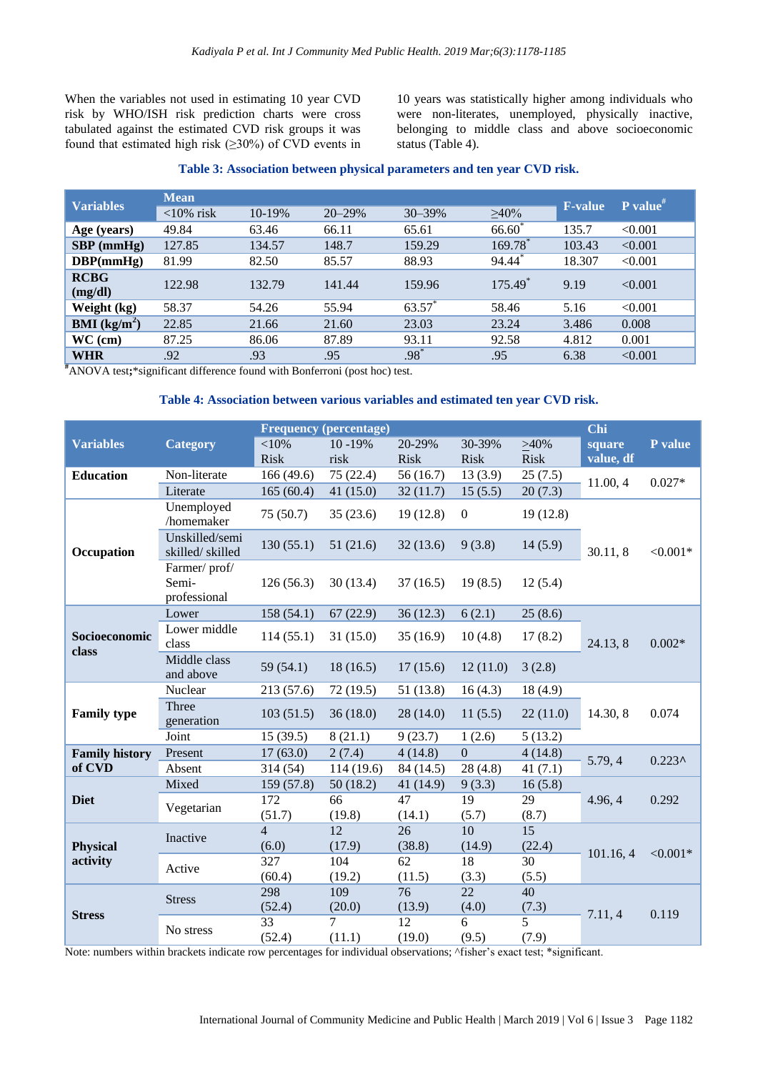When the variables not used in estimating 10 year CVD risk by WHO/ISH risk prediction charts were cross tabulated against the estimated CVD risk groups it was found that estimated high risk  $(\geq 30\%)$  of CVD events in 10 years was statistically higher among individuals who were non-literates, unemployed, physically inactive, belonging to middle class and above socioeconomic status (Table 4).

#### **Table 3: Association between physical parameters and ten year CVD risk.**

| <b>Variables</b>       | <b>Mean</b>  |        |            |          |                       |                | $P$ value <sup>#</sup> |  |
|------------------------|--------------|--------|------------|----------|-----------------------|----------------|------------------------|--|
|                        | $<10\%$ risk | 10-19% | $20 - 29%$ | 30-39%   | $\geq 40\%$           | <b>F-value</b> |                        |  |
| Age (years)            | 49.84        | 63.46  | 66.11      | 65.61    | $66.60^{\degree}$     | 135.7          | < 0.001                |  |
| $SBP$ (mmHg)           | 127.85       | 134.57 | 148.7      | 159.29   | $169.78$ <sup>*</sup> | 103.43         | < 0.001                |  |
| DBP(mmHg)              | 81.99        | 82.50  | 85.57      | 88.93    | 94.44                 | 18.307         | < 0.001                |  |
| <b>RCBG</b>            | 122.98       | 132.79 | 141.44     | 159.96   | $175.49^*$            | 9.19           | < 0.001                |  |
| (mg/dl)                |              |        |            |          |                       |                |                        |  |
| Weight (kg)            | 58.37        | 54.26  | 55.94      | $63.57*$ | 58.46                 | 5.16           | < 0.001                |  |
| <b>BMI</b> ( $kg/m2$ ) | 22.85        | 21.66  | 21.60      | 23.03    | 23.24                 | 3.486          | 0.008                  |  |
| $WC$ (cm)              | 87.25        | 86.06  | 87.89      | 93.11    | 92.58                 | 4.812          | 0.001                  |  |
| <b>WHR</b>             | .92          | .93    | .95        | $.98*$   | .95                   | 6.38           | < 0.001                |  |

**#**ANOVA test**;**\*significant difference found with Bonferroni (post hoc) test.

#### **Table 4: Association between various variables and estimated ten year CVD risk.**

|                        |                                       | <b>Frequency (percentage)</b> |             |              |                |             | Chi       |                        |
|------------------------|---------------------------------------|-------------------------------|-------------|--------------|----------------|-------------|-----------|------------------------|
| <b>Variables</b>       | <b>Category</b>                       | $<$ 10%                       | 10 - 19%    | 20-29%       | 30-39%         | >40%        | square    | P value                |
|                        |                                       | <b>Risk</b>                   | risk        | <b>Risk</b>  | <b>Risk</b>    | <b>Risk</b> | value, df |                        |
| <b>Education</b>       | Non-literate                          | 166 (49.6)                    | 75 (22.4)   | 56(16.7)     | 13(3.9)        | 25(7.5)     | 11.00, 4  | $0.027*$               |
|                        | Literate                              | 165(60.4)                     | 41 $(15.0)$ | 32(11.7)     | 15(5.5)        | 20(7.3)     |           |                        |
|                        | Unemployed<br>/homemaker              | 75(50.7)                      | 35(23.6)    | 19(12.8)     | $\mathbf{0}$   | 19(12.8)    |           |                        |
| Occupation             | Unskilled/semi<br>skilled/skilled     | 130(55.1)                     | 51(21.6)    | 32(13.6)     | 9(3.8)         | 14(5.9)     | 30.11, 8  | $< 0.001*$             |
|                        | Farmer/prof/<br>Semi-<br>professional | 126(56.3)                     | 30(13.4)    | 37(16.5)     | 19(8.5)        | 12(5.4)     |           |                        |
|                        | Lower                                 | 158(54.1)                     | 67(22.9)    | 36(12.3)     | 6(2.1)         | 25(8.6)     |           |                        |
| Socioeconomic<br>class | Lower middle<br>class                 | 114(55.1)                     | 31(15.0)    | 35(16.9)     | 10(4.8)        | 17(8.2)     | 24.13, 8  | $0.002*$               |
|                        | Middle class<br>and above             | 59 (54.1)                     | 18(16.5)    | 17(15.6)     | 12(11.0)       | 3(2.8)      |           |                        |
|                        | Nuclear                               | 213 (57.6)                    | 72 (19.5)   | 51(13.8)     | 16(4.3)        | 18(4.9)     |           | 0.074                  |
| <b>Family type</b>     | Three<br>generation                   | 103(51.5)                     | 36(18.0)    | 28(14.0)     | 11(5.5)        | 22(11.0)    | 14.30, 8  |                        |
|                        | Joint                                 | 15(39.5)                      | 8(21.1)     | 9(23.7)      | 1(2.6)         | 5(13.2)     |           |                        |
| <b>Family history</b>  | Present                               | 17(63.0)                      | 2(7.4)      | 4(14.8)      | $\overline{0}$ | 4(14.8)     | 5.79, 4   | $0.223^{\prime\prime}$ |
| of CVD                 | Absent                                | 314 (54)                      | 114 (19.6)  | 84 (14.5)    | 28(4.8)        | 41 $(7.1)$  |           |                        |
|                        | Mixed                                 | 159 (57.8)                    | 50(18.2)    | 41 (14.9)    | 9(3.3)         | 16(5.8)     |           | 0.292                  |
| <b>Diet</b>            | Vegetarian                            | 172                           | 66          | 47           | 19             | 29          | 4.96, 4   |                        |
|                        |                                       | (51.7)                        | (19.8)      | (14.1)       | (5.7)          | (8.7)       |           |                        |
| <b>Physical</b>        | Inactive                              | $\overline{\mathcal{L}}$      | 12          | 26           | 10             | 15          |           | ${<}0.001*$            |
|                        |                                       | (6.0)                         | (17.9)      | (38.8)       | (14.9)         | (22.4)      | 101.16, 4 |                        |
| activity               | Active                                | 327                           | 104         | 62           | 18             | 30          |           |                        |
|                        |                                       | (60.4)                        | (19.2)      | (11.5)       | (3.3)          | (5.5)       |           |                        |
|                        | <b>Stress</b><br>No stress            | 298                           | 109         | 76           | 22             | 40          |           | 0.119                  |
| <b>Stress</b>          |                                       | (52.4)                        | (20.0)      | (13.9)       | (4.0)          | (7.3)       | 7.11, 4   |                        |
|                        |                                       | 33<br>(52.4)                  | 7<br>(11.1) | 12<br>(19.0) | 6<br>(9.5)     | 5<br>(7.9)  |           |                        |
|                        |                                       |                               |             |              |                |             |           |                        |

Note: numbers within brackets indicate row percentages for individual observations; ^fisher's exact test; \*significant.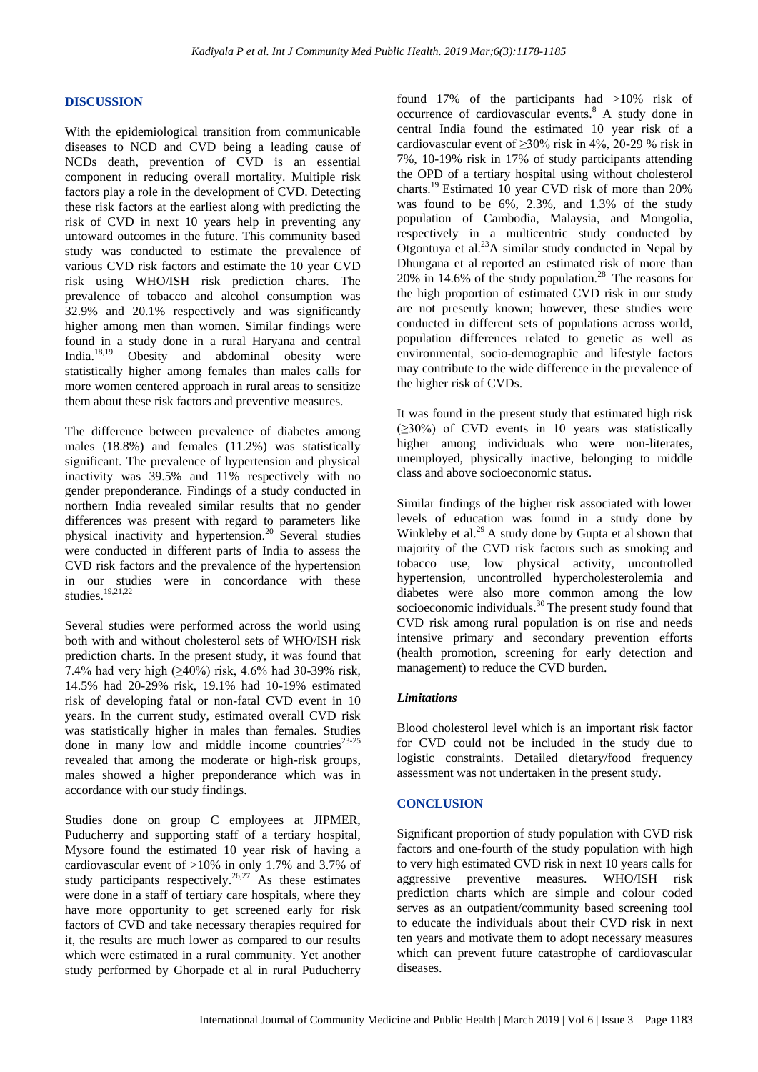#### **DISCUSSION**

With the epidemiological transition from communicable diseases to NCD and CVD being a leading cause of NCDs death, prevention of CVD is an essential component in reducing overall mortality. Multiple risk factors play a role in the development of CVD. Detecting these risk factors at the earliest along with predicting the risk of CVD in next 10 years help in preventing any untoward outcomes in the future. This community based study was conducted to estimate the prevalence of various CVD risk factors and estimate the 10 year CVD risk using WHO/ISH risk prediction charts. The prevalence of tobacco and alcohol consumption was 32.9% and 20.1% respectively and was significantly higher among men than women. Similar findings were found in a study done in a rural Haryana and central India.18,19 Obesity and abdominal obesity were statistically higher among females than males calls for more women centered approach in rural areas to sensitize them about these risk factors and preventive measures.

The difference between prevalence of diabetes among males (18.8%) and females (11.2%) was statistically significant. The prevalence of hypertension and physical inactivity was 39.5% and 11% respectively with no gender preponderance. Findings of a study conducted in northern India revealed similar results that no gender differences was present with regard to parameters like physical inactivity and hypertension.<sup>20</sup> Several studies were conducted in different parts of India to assess the CVD risk factors and the prevalence of the hypertension in our studies were in concordance with these studies. $19,21,22$ 

Several studies were performed across the world using both with and without cholesterol sets of WHO/ISH risk prediction charts. In the present study, it was found that 7.4% had very high (≥40%) risk, 4.6% had 30-39% risk, 14.5% had 20-29% risk, 19.1% had 10-19% estimated risk of developing fatal or non-fatal CVD event in 10 years. In the current study, estimated overall CVD risk was statistically higher in males than females. Studies done in many low and middle income countries $^{23-25}$ revealed that among the moderate or high-risk groups, males showed a higher preponderance which was in accordance with our study findings.

Studies done on group C employees at JIPMER, Puducherry and supporting staff of a tertiary hospital, Mysore found the estimated 10 year risk of having a cardiovascular event of >10% in only 1.7% and 3.7% of study participants respectively.<sup>26,27</sup> As these estimates were done in a staff of tertiary care hospitals, where they have more opportunity to get screened early for risk factors of CVD and take necessary therapies required for it, the results are much lower as compared to our results which were estimated in a rural community. Yet another study performed by Ghorpade et al in rural Puducherry found 17% of the participants had >10% risk of occurrence of cardiovascular events.<sup>8</sup> A study done in central India found the estimated 10 year risk of a cardiovascular event of  $\geq$ 30% risk in 4%, 20-29 % risk in 7%, 10-19% risk in 17% of study participants attending the OPD of a tertiary hospital using without cholesterol charts.<sup>19</sup> Estimated 10 year CVD risk of more than 20% was found to be 6%, 2.3%, and 1.3% of the study population of Cambodia, Malaysia, and Mongolia, respectively in a multicentric study conducted by Otgontuya et al. $^{23}$ A similar study conducted in Nepal by Dhungana et al reported an estimated risk of more than 20% in 14.6% of the study population.<sup>28</sup> The reasons for the high proportion of estimated CVD risk in our study are not presently known; however, these studies were conducted in different sets of populations across world, population differences related to genetic as well as environmental, socio-demographic and lifestyle factors may contribute to the wide difference in the prevalence of the higher risk of CVDs.

It was found in the present study that estimated high risk (≥30%) of CVD events in 10 years was statistically higher among individuals who were non-literates, unemployed, physically inactive, belonging to middle class and above socioeconomic status.

Similar findings of the higher risk associated with lower levels of education was found in a study done by Winkleby et al. $^{29}$  A study done by Gupta et al shown that majority of the CVD risk factors such as smoking and tobacco use, low physical activity, uncontrolled hypertension, uncontrolled hypercholesterolemia and diabetes were also more common among the low socioeconomic individuals.<sup>30</sup> The present study found that CVD risk among rural population is on rise and needs intensive primary and secondary prevention efforts (health promotion, screening for early detection and management) to reduce the CVD burden.

#### *Limitations*

Blood cholesterol level which is an important risk factor for CVD could not be included in the study due to logistic constraints. Detailed dietary/food frequency assessment was not undertaken in the present study.

#### **CONCLUSION**

Significant proportion of study population with CVD risk factors and one-fourth of the study population with high to very high estimated CVD risk in next 10 years calls for aggressive preventive measures. WHO/ISH risk prediction charts which are simple and colour coded serves as an outpatient/community based screening tool to educate the individuals about their CVD risk in next ten years and motivate them to adopt necessary measures which can prevent future catastrophe of cardiovascular diseases.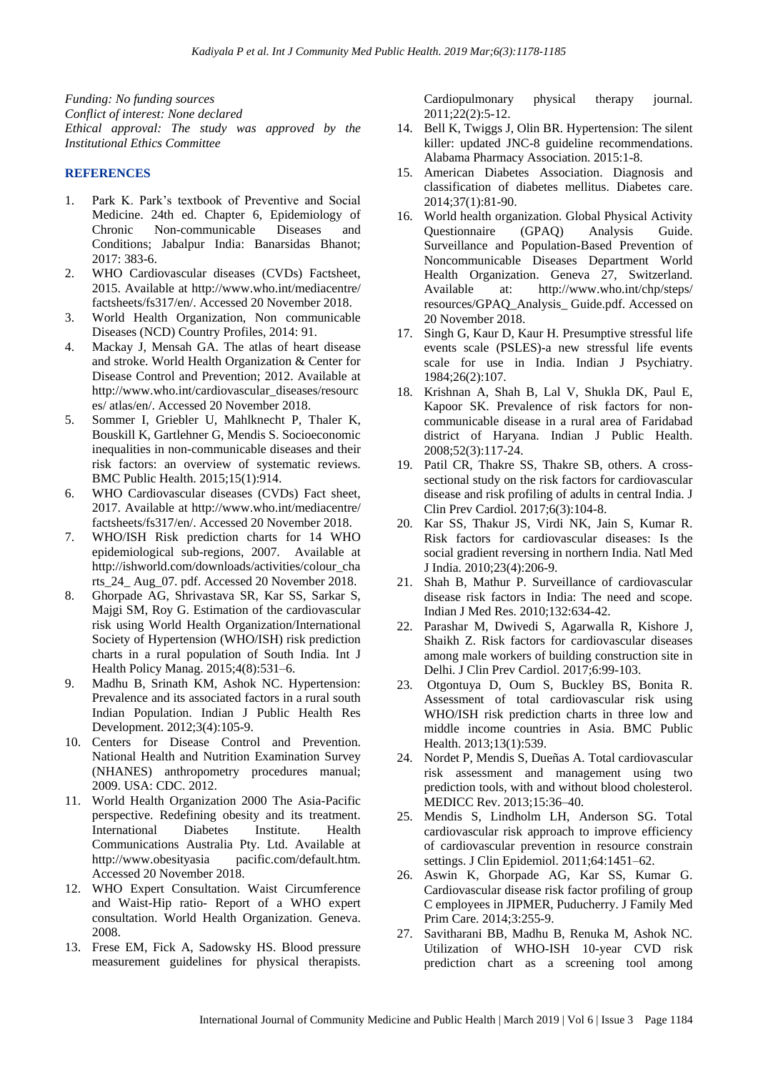*Funding: No funding sources Conflict of interest: None declared Ethical approval: The study was approved by the Institutional Ethics Committee*

#### **REFERENCES**

- 1. Park K. Park's textbook of Preventive and Social Medicine. 24th ed. Chapter 6, Epidemiology of Chronic Non-communicable Diseases and Conditions; Jabalpur India: Banarsidas Bhanot; 2017: 383-6.
- 2. WHO Cardiovascular diseases (CVDs) Factsheet, 2015. Available at http://www.who.int/mediacentre/ factsheets/fs317/en/. Accessed 20 November 2018.
- 3. World Health Organization, Non communicable Diseases (NCD) Country Profiles, 2014: 91.
- 4. Mackay J, Mensah GA. The atlas of heart disease and stroke. World Health Organization & Center for Disease Control and Prevention; 2012. Available at http://www.who.int/cardiovascular\_diseases/resourc es/ atlas/en/. Accessed 20 November 2018.
- 5. Sommer I, Griebler U, Mahlknecht P, Thaler K, Bouskill K, Gartlehner G, Mendis S. Socioeconomic inequalities in non-communicable diseases and their risk factors: an overview of systematic reviews. BMC Public Health. 2015;15(1):914.
- 6. WHO Cardiovascular diseases (CVDs) Fact sheet, 2017. Available at http://www.who.int/mediacentre/ factsheets/fs317/en/. Accessed 20 November 2018.
- 7. WHO/ISH Risk prediction charts for 14 WHO epidemiological sub-regions, 2007. Available at http://ishworld.com/downloads/activities/colour\_cha rts\_24\_ Aug\_07. pdf. Accessed 20 November 2018.
- 8. Ghorpade AG, Shrivastava SR, Kar SS, Sarkar S, Majgi SM, Roy G. Estimation of the cardiovascular risk using World Health Organization/International Society of Hypertension (WHO/ISH) risk prediction charts in a rural population of South India. Int J Health Policy Manag. 2015;4(8):531–6.
- 9. Madhu B, Srinath KM, Ashok NC. Hypertension: Prevalence and its associated factors in a rural south Indian Population. Indian J Public Health Res Development. 2012;3(4):105-9.
- 10. Centers for Disease Control and Prevention. National Health and Nutrition Examination Survey (NHANES) anthropometry procedures manual; 2009. USA: CDC. 2012.
- 11. World Health Organization 2000 The Asia-Pacific perspective. Redefining obesity and its treatment. International Diabetes Institute. Health Communications Australia Pty. Ltd. Available at http://www.obesityasia pacific.com/default.htm. Accessed 20 November 2018.
- 12. WHO Expert Consultation. Waist Circumference and Waist-Hip ratio- Report of a WHO expert consultation. World Health Organization. Geneva. 2008.
- 13. Frese EM, Fick A, Sadowsky HS. Blood pressure measurement guidelines for physical therapists.

Cardiopulmonary physical therapy journal. 2011;22(2):5-12.

- 14. Bell K, Twiggs J, Olin BR. Hypertension: The silent killer: updated JNC-8 guideline recommendations. Alabama Pharmacy Association. 2015:1-8.
- 15. American Diabetes Association. Diagnosis and classification of diabetes mellitus. Diabetes care. 2014;37(1):81-90.
- 16. World health organization. Global Physical Activity Questionnaire (GPAQ) Analysis Guide. Surveillance and Population-Based Prevention of Noncommunicable Diseases Department World Health Organization. Geneva 27, Switzerland. Available at: http://www.who.int/chp/steps/ resources/GPAQ\_Analysis\_ Guide.pdf. Accessed on 20 November 2018.
- 17. Singh G, Kaur D, Kaur H. Presumptive stressful life events scale (PSLES)-a new stressful life events scale for use in India. Indian J Psychiatry. 1984;26(2):107.
- 18. Krishnan A, Shah B, Lal V, Shukla DK, Paul E, Kapoor SK. Prevalence of risk factors for noncommunicable disease in a rural area of Faridabad district of Haryana. Indian J Public Health. 2008;52(3):117-24.
- 19. Patil CR, Thakre SS, Thakre SB, others. A crosssectional study on the risk factors for cardiovascular disease and risk profiling of adults in central India. J Clin Prev Cardiol. 2017;6(3):104-8.
- 20. Kar SS, Thakur JS, Virdi NK, Jain S, Kumar R. Risk factors for cardiovascular diseases: Is the social gradient reversing in northern India. Natl Med J India. 2010;23(4):206-9.
- 21. Shah B, Mathur P. Surveillance of cardiovascular disease risk factors in India: The need and scope. Indian J Med Res. 2010;132:634-42.
- 22. Parashar M, Dwivedi S, Agarwalla R, Kishore J, Shaikh Z. Risk factors for cardiovascular diseases among male workers of building construction site in Delhi. J Clin Prev Cardiol. 2017;6:99-103.
- 23. Otgontuya D, Oum S, Buckley BS, Bonita R. Assessment of total cardiovascular risk using WHO/ISH risk prediction charts in three low and middle income countries in Asia. BMC Public Health. 2013;13(1):539.
- 24. Nordet P, Mendis S, Dueñas A. Total cardiovascular risk assessment and management using two prediction tools, with and without blood cholesterol. MEDICC Rev. 2013;15:36–40.
- 25. Mendis S, Lindholm LH, Anderson SG. Total cardiovascular risk approach to improve efficiency of cardiovascular prevention in resource constrain settings. J Clin Epidemiol. 2011;64:1451–62.
- 26. Aswin K, Ghorpade AG, Kar SS, Kumar G. Cardiovascular disease risk factor profiling of group C employees in JIPMER, Puducherry. J Family Med Prim Care. 2014;3:255-9.
- 27. Savitharani BB, Madhu B, Renuka M, Ashok NC. Utilization of WHO-ISH 10-year CVD risk prediction chart as a screening tool among